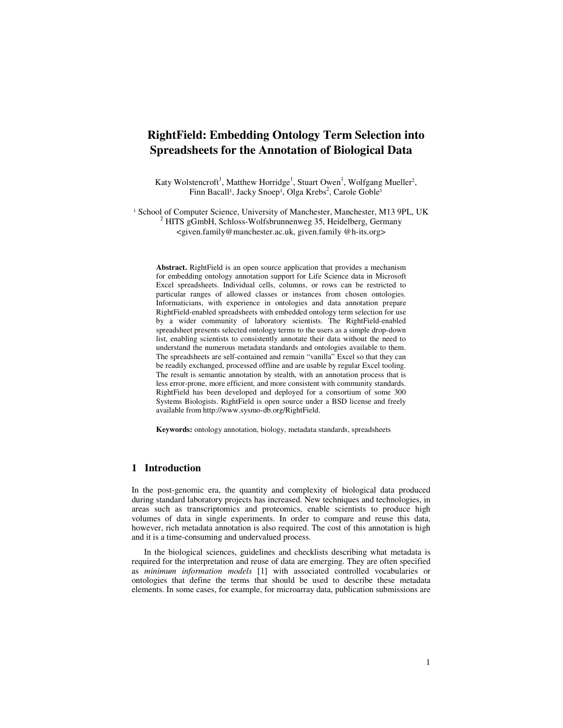# **RightField: Embedding Ontology Term Selection into Spreadsheets for the Annotation of Biological Data**

Katy Wolstencroft<sup>1</sup>, Matthew Horridge<sup>1</sup>, Stuart Owen<sup>1</sup>, Wolfgang Mueller<sup>2</sup>, Finn Bacall<sup>1</sup>, Jacky Snoep<sup>1</sup>, Olga Krebs<sup>2</sup>, Carole Goble<sup>1</sup>

<sup>1</sup> School of Computer Science, University of Manchester, Manchester, M13 9PL, UK  $2$  HITS gGmbH, Schloss-Wolfsbrunnenweg 35, Heidelberg, Germany <given.family@manchester.ac.uk, given.family @h-its.org>

**Abstract.** RightField is an open source application that provides a mechanism for embedding ontology annotation support for Life Science data in Microsoft Excel spreadsheets. Individual cells, columns, or rows can be restricted to particular ranges of allowed classes or instances from chosen ontologies. Informaticians, with experience in ontologies and data annotation prepare RightField-enabled spreadsheets with embedded ontology term selection for use by a wider community of laboratory scientists. The RightField-enabled spreadsheet presents selected ontology terms to the users as a simple drop-down list, enabling scientists to consistently annotate their data without the need to understand the numerous metadata standards and ontologies available to them. The spreadsheets are self-contained and remain "vanilla" Excel so that they can be readily exchanged, processed offline and are usable by regular Excel tooling. The result is semantic annotation by stealth, with an annotation process that is less error-prone, more efficient, and more consistent with community standards. RightField has been developed and deployed for a consortium of some 300 Systems Biologists. RightField is open source under a BSD license and freely available from http://www.sysmo-db.org/RightField.

**Keywords:** ontology annotation, biology, metadata standards, spreadsheets

### **1 Introduction**

In the post-genomic era, the quantity and complexity of biological data produced during standard laboratory projects has increased. New techniques and technologies, in areas such as transcriptomics and proteomics, enable scientists to produce high volumes of data in single experiments. In order to compare and reuse this data, however, rich metadata annotation is also required. The cost of this annotation is high and it is a time-consuming and undervalued process.

In the biological sciences, guidelines and checklists describing what metadata is required for the interpretation and reuse of data are emerging. They are often specified as *minimum information models* [1] with associated controlled vocabularies or ontologies that define the terms that should be used to describe these metadata elements. In some cases, for example, for microarray data, publication submissions are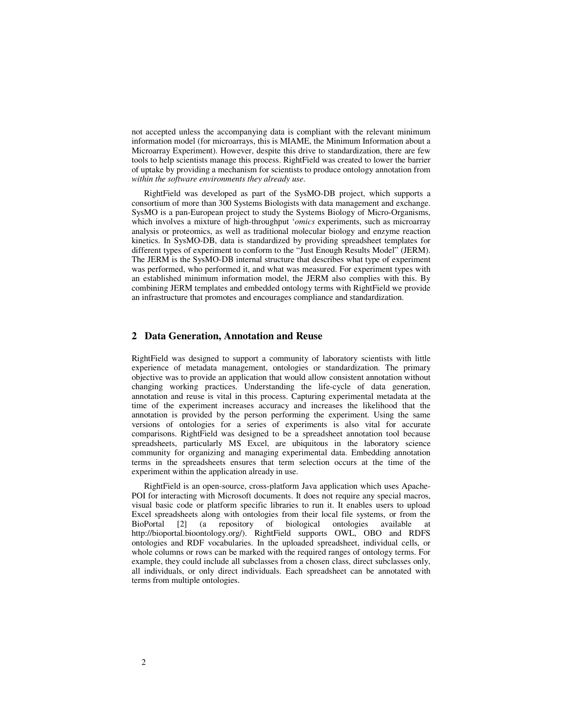not accepted unless the accompanying data is compliant with the relevant minimum information model (for microarrays, this is MIAME, the Minimum Information about a Microarray Experiment). However, despite this drive to standardization, there are few tools to help scientists manage this process. RightField was created to lower the barrier of uptake by providing a mechanism for scientists to produce ontology annotation from *within the software environments they already use*.

RightField was developed as part of the SysMO-DB project, which supports a consortium of more than 300 Systems Biologists with data management and exchange. SysMO is a pan-European project to study the Systems Biology of Micro-Organisms, which involves a mixture of high-throughput '*omics* experiments, such as microarray analysis or proteomics, as well as traditional molecular biology and enzyme reaction kinetics. In SysMO-DB, data is standardized by providing spreadsheet templates for different types of experiment to conform to the "Just Enough Results Model" (JERM). The JERM is the SysMO-DB internal structure that describes what type of experiment was performed, who performed it, and what was measured. For experiment types with an established minimum information model, the JERM also complies with this. By combining JERM templates and embedded ontology terms with RightField we provide an infrastructure that promotes and encourages compliance and standardization.

### **2 Data Generation, Annotation and Reuse**

RightField was designed to support a community of laboratory scientists with little experience of metadata management, ontologies or standardization. The primary objective was to provide an application that would allow consistent annotation without changing working practices. Understanding the life-cycle of data generation, annotation and reuse is vital in this process. Capturing experimental metadata at the time of the experiment increases accuracy and increases the likelihood that the annotation is provided by the person performing the experiment. Using the same versions of ontologies for a series of experiments is also vital for accurate comparisons. RightField was designed to be a spreadsheet annotation tool because spreadsheets, particularly MS Excel, are ubiquitous in the laboratory science community for organizing and managing experimental data. Embedding annotation terms in the spreadsheets ensures that term selection occurs at the time of the experiment within the application already in use.

RightField is an open-source, cross-platform Java application which uses Apache-POI for interacting with Microsoft documents. It does not require any special macros, visual basic code or platform specific libraries to run it. It enables users to upload Excel spreadsheets along with ontologies from their local file systems, or from the BioPortal [2] (a repository of biological ontologies available at http://bioportal.bioontology.org/). RightField supports OWL, OBO and RDFS ontologies and RDF vocabularies. In the uploaded spreadsheet, individual cells, or whole columns or rows can be marked with the required ranges of ontology terms. For example, they could include all subclasses from a chosen class, direct subclasses only, all individuals, or only direct individuals. Each spreadsheet can be annotated with terms from multiple ontologies.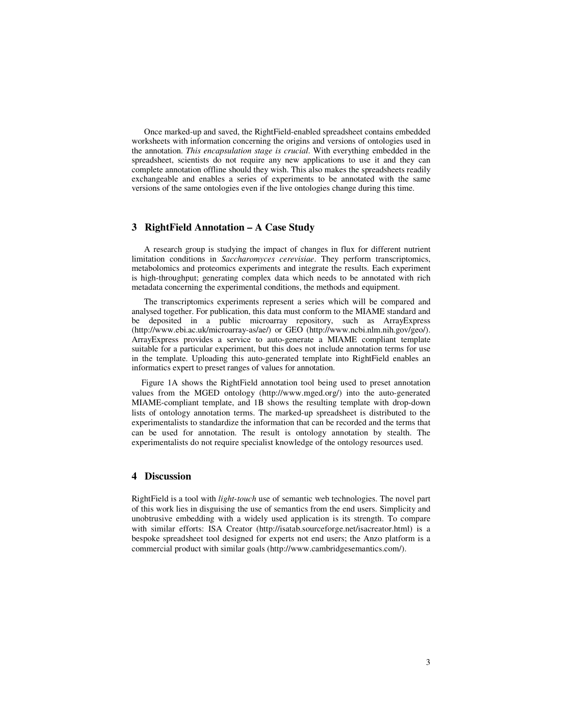Once marked-up and saved, the RightField-enabled spreadsheet contains embedded worksheets with information concerning the origins and versions of ontologies used in the annotation. *This encapsulation stage is crucial*. With everything embedded in the spreadsheet, scientists do not require any new applications to use it and they can complete annotation offline should they wish. This also makes the spreadsheets readily exchangeable and enables a series of experiments to be annotated with the same versions of the same ontologies even if the live ontologies change during this time.

## **3 RightField Annotation – A Case Study**

A research group is studying the impact of changes in flux for different nutrient limitation conditions in *Saccharomyces cerevisiae*. They perform transcriptomics, metabolomics and proteomics experiments and integrate the results. Each experiment is high-throughput; generating complex data which needs to be annotated with rich metadata concerning the experimental conditions, the methods and equipment.

The transcriptomics experiments represent a series which will be compared and analysed together. For publication, this data must conform to the MIAME standard and be deposited in a public microarray repository, such as ArrayExpress (http://www.ebi.ac.uk/microarray-as/ae/) or GEO (http://www.ncbi.nlm.nih.gov/geo/). ArrayExpress provides a service to auto-generate a MIAME compliant template suitable for a particular experiment, but this does not include annotation terms for use in the template. Uploading this auto-generated template into RightField enables an informatics expert to preset ranges of values for annotation.

Figure 1A shows the RightField annotation tool being used to preset annotation values from the MGED ontology (http://www.mged.org/) into the auto-generated MIAME-compliant template, and 1B shows the resulting template with drop-down lists of ontology annotation terms. The marked-up spreadsheet is distributed to the experimentalists to standardize the information that can be recorded and the terms that can be used for annotation. The result is ontology annotation by stealth. The experimentalists do not require specialist knowledge of the ontology resources used.

### **4 Discussion**

RightField is a tool with *light-touch* use of semantic web technologies. The novel part of this work lies in disguising the use of semantics from the end users. Simplicity and unobtrusive embedding with a widely used application is its strength. To compare with similar efforts: ISA Creator (http://isatab.sourceforge.net/isacreator.html) is a bespoke spreadsheet tool designed for experts not end users; the Anzo platform is a commercial product with similar goals (http://www.cambridgesemantics.com/).